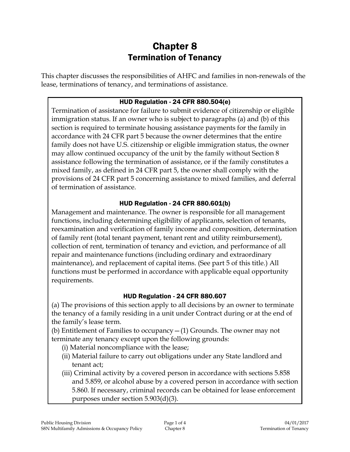# Chapter 8 Termination of Tenancy

This chapter discusses the responsibilities of AHFC and families in non-renewals of the lease, terminations of tenancy, and terminations of assistance.

#### HUD Regulation - 24 CFR 880.504(e)

Termination of assistance for failure to submit evidence of citizenship or eligible immigration status. If an owner who is subject to paragraphs (a) and (b) of this section is required to terminate housing assistance payments for the family in accordance with 24 CFR part 5 because the owner determines that the entire family does not have U.S. citizenship or eligible immigration status, the owner may allow continued occupancy of the unit by the family without Section 8 assistance following the termination of assistance, or if the family constitutes a mixed family, as defined in 24 CFR part 5, the owner shall comply with the provisions of 24 CFR part 5 concerning assistance to mixed families, and deferral of termination of assistance.

### HUD Regulation - 24 CFR 880.601(b)

Management and maintenance. The owner is responsible for all management functions, including determining eligibility of applicants, selection of tenants, reexamination and verification of family income and composition, determination of family rent (total tenant payment, tenant rent and utility reimbursement), collection of rent, termination of tenancy and eviction, and performance of all repair and maintenance functions (including ordinary and extraordinary maintenance), and replacement of capital items. (See part 5 of this title.) All functions must be performed in accordance with applicable equal opportunity requirements.

#### HUD Regulation - 24 CFR 880.607

(a) The provisions of this section apply to all decisions by an owner to terminate the tenancy of a family residing in a unit under Contract during or at the end of the family's lease term.

(b) Entitlement of Families to occupancy  $-(1)$  Grounds. The owner may not terminate any tenancy except upon the following grounds:

- (i) Material noncompliance with the lease;
- (ii) Material failure to carry out obligations under any State landlord and tenant act;
- (iii) Criminal activity by a covered person in accordance with sections 5.858 and 5.859, or alcohol abuse by a covered person in accordance with section 5.860. If necessary, criminal records can be obtained for lease enforcement purposes under section 5.903(d)(3).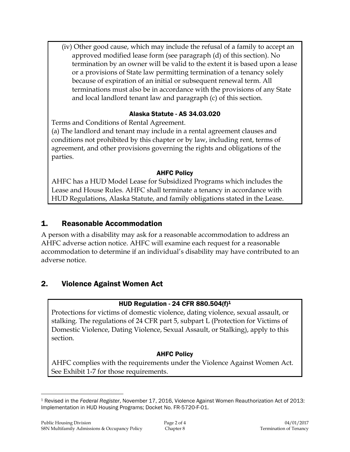(iv) Other good cause, which may include the refusal of a family to accept an approved modified lease form (see paragraph (d) of this section). No termination by an owner will be valid to the extent it is based upon a lease or a provisions of State law permitting termination of a tenancy solely because of expiration of an initial or subsequent renewal term. All terminations must also be in accordance with the provisions of any State and local landlord tenant law and paragraph (c) of this section.

#### Alaska Statute - AS 34.03.020

Terms and Conditions of Rental Agreement.

(a) The landlord and tenant may include in a rental agreement clauses and conditions not prohibited by this chapter or by law, including rent, terms of agreement, and other provisions governing the rights and obligations of the parties.

### AHFC Policy

AHFC has a HUD Model Lease for Subsidized Programs which includes the Lease and House Rules. AHFC shall terminate a tenancy in accordance with HUD Regulations, Alaska Statute, and family obligations stated in the Lease.

# 1. Reasonable Accommodation

A person with a disability may ask for a reasonable accommodation to address an AHFC adverse action notice. AHFC will examine each request for a reasonable accommodation to determine if an individual's disability may have contributed to an adverse notice.

# 2. Violence Against Women Act

#### HUD Regulation - 24 CFR 880.504(f)<sup>1</sup>

Protections for victims of domestic violence, dating violence, sexual assault, or stalking. The regulations of 24 CFR part 5, subpart L (Protection for Victims of Domestic Violence, Dating Violence, Sexual Assault, or Stalking), apply to this section.

## AHFC Policy

AHFC complies with the requirements under the Violence Against Women Act. See Exhibit 1-7 for those requirements.

 $\overline{a}$ <sup>1</sup> Revised in the *Federal Register*, November 17, 2016, Violence Against Women Reauthorization Act of 2013: Implementation in HUD Housing Programs; Docket No. FR-5720-F-01.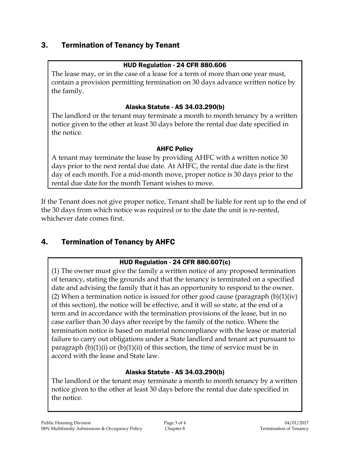# 3. Termination of Tenancy by Tenant

#### HUD Regulation - 24 CFR 880.606

The lease may, or in the case of a lease for a term of more than one year must, contain a provision permitting termination on 30 days advance written notice by the family.

### Alaska Statute - AS 34.03.290(b)

The landlord or the tenant may terminate a month to month tenancy by a written notice given to the other at least 30 days before the rental due date specified in the notice.

#### AHFC Policy

A tenant may terminate the lease by providing AHFC with a written notice 30 days prior to the next rental due date. At AHFC, the rental due date is the first day of each month. For a mid-month move, proper notice is 30 days prior to the rental due date for the month Tenant wishes to move.

If the Tenant does not give proper notice, Tenant shall be liable for rent up to the end of the 30 days from which notice was required or to the date the unit is re-rented, whichever date comes first.

# 4. Termination of Tenancy by AHFC

## HUD Regulation - 24 CFR 880.607(c)

(1) The owner must give the family a written notice of any proposed termination of tenancy, stating the grounds and that the tenancy is terminated on a specified date and advising the family that it has an opportunity to respond to the owner. (2) When a termination notice is issued for other good cause (paragraph  $(b)(1)(iv)$ of this section), the notice will be effective, and it will so state, at the end of a term and in accordance with the termination provisions of the lease, but in no case earlier than 30 days after receipt by the family of the notice. Where the termination notice is based on material noncompliance with the lease or material failure to carry out obligations under a State landlord and tenant act pursuant to paragraph  $(b)(1)(i)$  or  $(b)(1)(ii)$  of this section, the time of service must be in accord with the lease and State law.

#### Alaska Statute - AS 34.03.290(b)

The landlord or the tenant may terminate a month to month tenancy by a written notice given to the other at least 30 days before the rental due date specified in the notice.